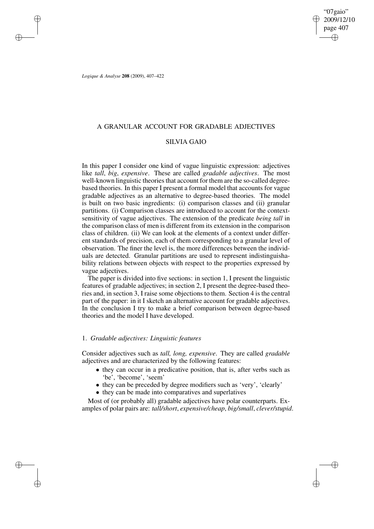"07gaio" 2009/12/10 page 407 ✐ ✐

✐

✐

*Logique & Analyse* **208** (2009), 407–422

✐

✐

✐

✐

## A GRANULAR ACCOUNT FOR GRADABLE ADJECTIVES

## SILVIA GAIO

In this paper I consider one kind of vague linguistic expression: adjectives like *tall*, *big*, *expensive*. These are called *gradable adjectives*. The most well-known linguistic theories that account for them are the so-called degreebased theories. In this paper I present a formal model that accounts for vague gradable adjectives as an alternative to degree-based theories. The model is built on two basic ingredients: (i) comparison classes and (ii) granular partitions. (i) Comparison classes are introduced to account for the contextsensitivity of vague adjectives. The extension of the predicate *being tall* in the comparison class of men is different from its extension in the comparison class of children. (ii) We can look at the elements of a context under different standards of precision, each of them corresponding to a granular level of observation. The finer the level is, the more differences between the individuals are detected. Granular partitions are used to represent indistinguishability relations between objects with respect to the properties expressed by vague adjectives.

The paper is divided into five sections: in section 1, I present the linguistic features of gradable adjectives; in section 2, I present the degree-based theories and, in section 3, I raise some objections to them. Section 4 is the central part of the paper: in it I sketch an alternative account for gradable adjectives. In the conclusion I try to make a brief comparison between degree-based theories and the model I have developed.

## 1. *Gradable adjectives: Linguistic features*

Consider adjectives such as *tall, long, expensive*. They are called *gradable* adjectives and are characterized by the following features:

- they can occur in a predicative position, that is, after verbs such as 'be', 'become', 'seem'
- they can be preceded by degree modifiers such as 'very', 'clearly'
- they can be made into comparatives and superlatives

Most of (or probably all) gradable adjectives have polar counterparts. Examples of polar pairs are: *tall/short*, *expensive/cheap*, *big/small*, *clever/stupid*.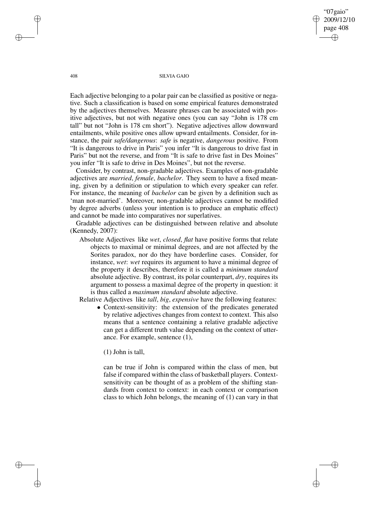"07gaio" 2009/12/10 page 408 ✐ ✐

✐

✐

#### 408 SILVIA GAIO

Each adjective belonging to a polar pair can be classified as positive or negative. Such a classification is based on some empirical features demonstrated by the adjectives themselves. Measure phrases can be associated with positive adjectives, but not with negative ones (you can say "John is 178 cm tall" but not "John is 178 cm short"). Negative adjectives allow downward entailments, while positive ones allow upward entailments. Consider, for instance, the pair *safe/dangerous*: *safe* is negative, *dangerous* positive. From "It is dangerous to drive in Paris" you infer "It is dangerous to drive fast in Paris" but not the reverse, and from "It is safe to drive fast in Des Moines" you infer "It is safe to drive in Des Moines", but not the reverse.

Consider, by contrast, non-gradable adjectives. Examples of non-gradable adjectives are *married*, *female*, *bachelor*. They seem to have a fixed meaning, given by a definition or stipulation to which every speaker can refer. For instance, the meaning of *bachelor* can be given by a definition such as 'man not-married'. Moreover, non-gradable adjectives cannot be modified by degree adverbs (unless your intention is to produce an emphatic effect) and cannot be made into comparatives nor superlatives.

Gradable adjectives can be distinguished between relative and absolute (Kennedy, 2007):

Absolute Adjectives like *wet*, *closed*, *flat* have positive forms that relate objects to maximal or minimal degrees, and are not affected by the Sorites paradox, nor do they have borderline cases. Consider, for instance, *wet*: *wet* requires its argument to have a minimal degree of the property it describes, therefore it is called a *minimum standard* absolute adjective. By contrast, its polar counterpart, *dry*, requires its argument to possess a maximal degree of the property in question: it is thus called a *maximum standard* absolute adjective.

Relative Adjectives like *tall*, *big*, *expensive* have the following features:

• Context-sensitivity: the extension of the predicates generated by relative adjectives changes from context to context. This also means that a sentence containing a relative gradable adjective can get a different truth value depending on the context of utterance. For example, sentence (1),

(1) John is tall,

can be true if John is compared within the class of men, but false if compared within the class of basketball players. Contextsensitivity can be thought of as a problem of the shifting standards from context to context: in each context or comparison class to which John belongs, the meaning of (1) can vary in that

✐

✐

✐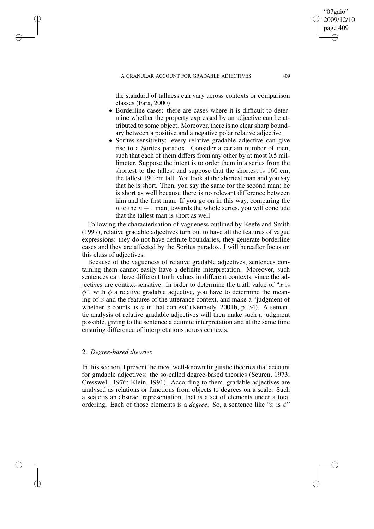#### A GRANULAR ACCOUNT FOR GRADABLE ADJECTIVES 409

the standard of tallness can vary across contexts or comparison classes (Fara, 2000)

- Borderline cases: there are cases where it is difficult to determine whether the property expressed by an adjective can be attributed to some object. Moreover, there is no clear sharp boundary between a positive and a negative polar relative adjective
- Sorites-sensitivity: every relative gradable adjective can give rise to a Sorites paradox. Consider a certain number of men, such that each of them differs from any other by at most 0.5 millimeter. Suppose the intent is to order them in a series from the shortest to the tallest and suppose that the shortest is 160 cm, the tallest 190 cm tall. You look at the shortest man and you say that he is short. Then, you say the same for the second man: he is short as well because there is no relevant difference between him and the first man. If you go on in this way, comparing the n to the  $n + 1$  man, towards the whole series, you will conclude that the tallest man is short as well

Following the characterisation of vagueness outlined by Keefe and Smith (1997), relative gradable adjectives turn out to have all the features of vague expressions: they do not have definite boundaries, they generate borderline cases and they are affected by the Sorites paradox. I will hereafter focus on this class of adjectives.

Because of the vagueness of relative gradable adjectives, sentences containing them cannot easily have a definite interpretation. Moreover, such sentences can have different truth values in different contexts, since the adjectives are context-sensitive. In order to determine the truth value of " $x$  is  $\phi$ ", with  $\phi$  a relative gradable adjective, you have to determine the meaning of  $x$  and the features of the utterance context, and make a "judgment of whether x counts as  $\phi$  in that context" (Kennedy, 2001b, p. 34). A semantic analysis of relative gradable adjectives will then make such a judgment possible, giving to the sentence a definite interpretation and at the same time ensuring difference of interpretations across contexts.

### 2. *Degree-based theories*

✐

✐

✐

✐

In this section, I present the most well-known linguistic theories that account for gradable adjectives: the so-called degree-based theories (Seuren, 1973; Cresswell, 1976; Klein, 1991). According to them, gradable adjectives are analysed as relations or functions from objects to degrees on a scale. Such a scale is an abstract representation, that is a set of elements under a total ordering. Each of those elements is a *degree*. So, a sentence like "x is  $\phi$ "

"07gaio" 2009/12/10 page 409

✐

✐

✐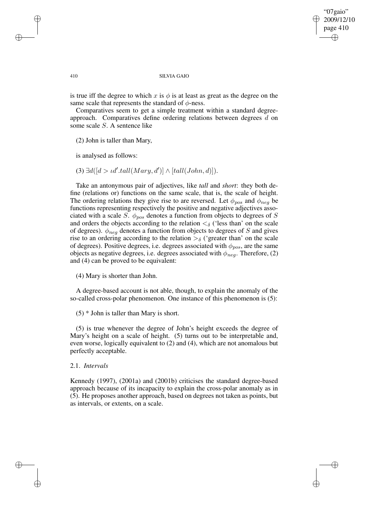"07gaio" 2009/12/10 page 410 ✐ ✐

✐

#### 410 SILVIA GAIO

is true iff the degree to which x is  $\phi$  is at least as great as the degree on the same scale that represents the standard of  $\phi$ -ness.

Comparatives seem to get a simple treatment within a standard degreeapproach. Comparatives define ordering relations between degrees d on some scale S. A sentence like

(2) John is taller than Mary,

is analysed as follows:

✐

✐

✐

✐

(3)  $\exists d([d > \iota d'.\n{tall(Mary, d')] \land [\iota all(John, d)]}).$ 

Take an antonymous pair of adjectives, like *tall* and *short*: they both define (relations or) functions on the same scale, that is, the scale of height. The ordering relations they give rise to are reversed. Let  $\phi_{pos}$  and  $\phi_{neg}$  be functions representing respectively the positive and negative adjectives associated with a scale S.  $\phi_{pos}$  denotes a function from objects to degrees of S and orders the objects according to the relation  $\lt_{\delta}$  ('less than' on the scale of degrees).  $\phi_{neq}$  denotes a function from objects to degrees of S and gives rise to an ordering according to the relation  $>\delta$  ('greater than' on the scale of degrees). Positive degrees, i.e. degrees associated with  $\phi_{pos}$ , are the same objects as negative degrees, i.e. degrees associated with  $\phi_{neq}$ . Therefore, (2) and (4) can be proved to be equivalent:

(4) Mary is shorter than John.

A degree-based account is not able, though, to explain the anomaly of the so-called cross-polar phenomenon. One instance of this phenomenon is (5):

(5) \* John is taller than Mary is short.

(5) is true whenever the degree of John's height exceeds the degree of Mary's height on a scale of height. (5) turns out to be interpretable and, even worse, logically equivalent to (2) and (4), which are not anomalous but perfectly acceptable.

## 2.1. *Intervals*

Kennedy (1997), (2001a) and (2001b) criticises the standard degree-based approach because of its incapacity to explain the cross-polar anomaly as in (5). He proposes another approach, based on degrees not taken as points, but as intervals, or extents, on a scale.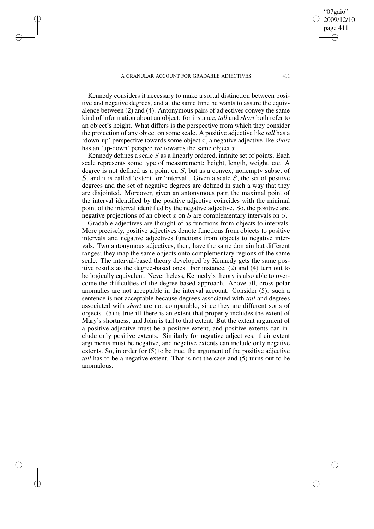✐

✐

✐

Kennedy considers it necessary to make a sortal distinction between positive and negative degrees, and at the same time he wants to assure the equivalence between (2) and (4). Antonymous pairs of adjectives convey the same kind of information about an object: for instance, *tall* and *short* both refer to an object's height. What differs is the perspective from which they consider the projection of any object on some scale. A positive adjective like *tall* has a 'down-up' perspective towards some object x, a negative adjective like *short* has an 'up-down' perspective towards the same object  $x$ .

Kennedy defines a scale  $S$  as a linearly ordered, infinite set of points. Each scale represents some type of measurement: height, length, weight, etc. A degree is not defined as a point on  $S$ , but as a convex, nonempty subset of S, and it is called 'extent' or 'interval'. Given a scale S, the set of positive degrees and the set of negative degrees are defined in such a way that they are disjointed. Moreover, given an antonymous pair, the maximal point of the interval identified by the positive adjective coincides with the minimal point of the interval identified by the negative adjective. So, the positive and negative projections of an object  $x$  on  $S$  are complementary intervals on  $S$ .

Gradable adjectives are thought of as functions from objects to intervals. More precisely, positive adjectives denote functions from objects to positive intervals and negative adjectives functions from objects to negative intervals. Two antonymous adjectives, then, have the same domain but different ranges; they map the same objects onto complementary regions of the same scale. The interval-based theory developed by Kennedy gets the same positive results as the degree-based ones. For instance, (2) and (4) turn out to be logically equivalent. Nevertheless, Kennedy's theory is also able to overcome the difficulties of the degree-based approach. Above all, cross-polar anomalies are not acceptable in the interval account. Consider (5): such a sentence is not acceptable because degrees associated with *tall* and degrees associated with *short* are not comparable, since they are different sorts of objects. (5) is true iff there is an extent that properly includes the extent of Mary's shortness, and John is tall to that extent. But the extent argument of a positive adjective must be a positive extent, and positive extents can include only positive extents. Similarly for negative adjectives: their extent arguments must be negative, and negative extents can include only negative extents. So, in order for (5) to be true, the argument of the positive adjective *tall* has to be a negative extent. That is not the case and (5) turns out to be anomalous.

"07gaio" 2009/12/10 page 411

✐

✐

✐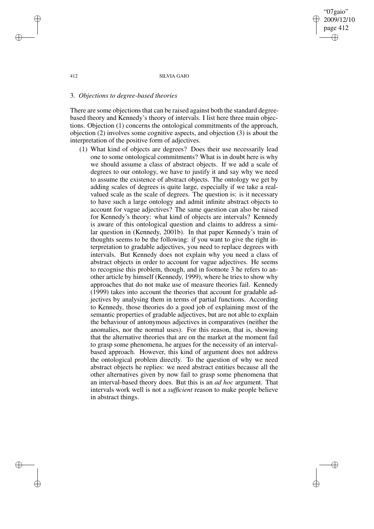"07gaio" 2009/12/10 page 412 ✐ ✐

✐

✐

#### 412 SILVIA GAIO

## 3. *Objections to degree-based theories*

There are some objections that can be raised against both the standard degreebased theory and Kennedy's theory of intervals. I list here three main objections. Objection (1) concerns the ontological commitments of the approach, objection (2) involves some cognitive aspects, and objection (3) is about the interpretation of the positive form of adjectives.

(1) What kind of objects are degrees? Does their use necessarily lead one to some ontological commitments? What is in doubt here is why we should assume a class of abstract objects. If we add a scale of degrees to our ontology, we have to justify it and say why we need to assume the existence of abstract objects. The ontology we get by adding scales of degrees is quite large, especially if we take a realvalued scale as the scale of degrees. The question is: is it necessary to have such a large ontology and admit infinite abstract objects to account for vague adjectives? The same question can also be raised for Kennedy's theory: what kind of objects are intervals? Kennedy is aware of this ontological question and claims to address a similar question in (Kennedy, 2001b). In that paper Kennedy's train of thoughts seems to be the following: if you want to give the right interpretation to gradable adjectives, you need to replace degrees with intervals. But Kennedy does not explain why you need a class of abstract objects in order to account for vague adjectives. He seems to recognise this problem, though, and in footnote 3 he refers to another article by himself (Kennedy, 1999), where he tries to show why approaches that do not make use of measure theories fail. Kennedy (1999) takes into account the theories that account for gradable adjectives by analysing them in terms of partial functions. According to Kennedy, those theories do a good job of explaining most of the semantic properties of gradable adjectives, but are not able to explain the behaviour of antonymous adjectives in comparatives (neither the anomalies, nor the normal uses). For this reason, that is, showing that the alternative theories that are on the market at the moment fail to grasp some phenomena, he argues for the necessity of an intervalbased approach. However, this kind of argument does not address the ontological problem directly. To the question of why we need abstract objects he replies: we need abstract entities because all the other alternatives given by now fail to grasp some phenomena that an interval-based theory does. But this is an *ad hoc* argument. That intervals work well is not a *sufficient* reason to make people believe in abstract things.

✐

✐

✐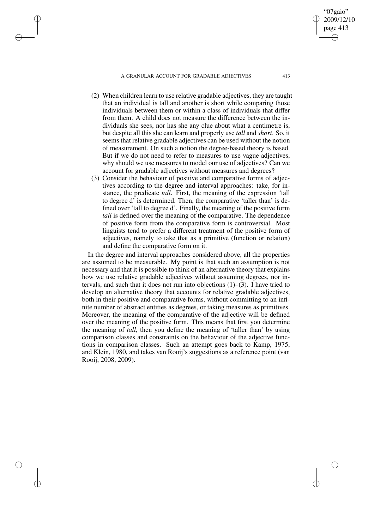#### A GRANULAR ACCOUNT FOR GRADABLE ADJECTIVES 413

✐

✐

✐

✐

- (2) When children learn to use relative gradable adjectives, they are taught that an individual is tall and another is short while comparing those individuals between them or within a class of individuals that differ from them. A child does not measure the difference between the individuals she sees, nor has she any clue about what a centimetre is, but despite all this she can learn and properly use *tall* and *short*. So, it seems that relative gradable adjectives can be used without the notion of measurement. On such a notion the degree-based theory is based. But if we do not need to refer to measures to use vague adjectives, why should we use measures to model our use of adjectives? Can we account for gradable adjectives without measures and degrees?
- (3) Consider the behaviour of positive and comparative forms of adjectives according to the degree and interval approaches: take, for instance, the predicate *tall*. First, the meaning of the expression 'tall to degree d' is determined. Then, the comparative 'taller than' is defined over 'tall to degree d'. Finally, the meaning of the positive form *tall* is defined over the meaning of the comparative. The dependence of positive form from the comparative form is controversial. Most linguists tend to prefer a different treatment of the positive form of adjectives, namely to take that as a primitive (function or relation) and define the comparative form on it.

In the degree and interval approaches considered above, all the properties are assumed to be measurable. My point is that such an assumption is not necessary and that it is possible to think of an alternative theory that explains how we use relative gradable adjectives without assuming degrees, nor intervals, and such that it does not run into objections (1)–(3). I have tried to develop an alternative theory that accounts for relative gradable adjectives, both in their positive and comparative forms, without committing to an infinite number of abstract entities as degrees, or taking measures as primitives. Moreover, the meaning of the comparative of the adjective will be defined over the meaning of the positive form. This means that first you determine the meaning of *tall*, then you define the meaning of 'taller than' by using comparison classes and constraints on the behaviour of the adjective functions in comparison classes. Such an attempt goes back to Kamp, 1975, and Klein, 1980, and takes van Rooij's suggestions as a reference point (van Rooij, 2008, 2009).

"07gaio" 2009/12/10 page 413

✐

✐

✐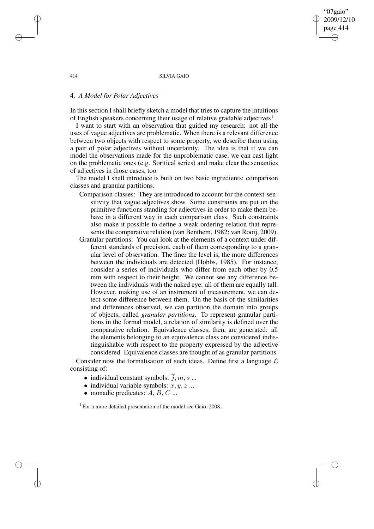"07gaio" 2009/12/10 page 414 ✐ ✐

✐

✐

#### 414 SILVIA GAIO

## 4. *A Model for Polar Adjectives*

In this section I shall briefly sketch a model that tries to capture the intuitions of English speakers concerning their usage of relative gradable adjectives<sup>1</sup>.

I want to start with an observation that guided my research: not all the uses of vague adjectives are problematic. When there is a relevant difference between two objects with respect to some property, we describe them using a pair of polar adjectives without uncertainty. The idea is that if we can model the observations made for the unproblematic case, we can cast light on the problematic ones (e.g. Soritical series) and make clear the semantics of adjectives in those cases, too.

The model I shall introduce is built on two basic ingredients: comparison classes and granular partitions.

- Comparison classes: They are introduced to account for the context-sensitivity that vague adjectives show. Some constraints are put on the primitive functions standing for adjectives in order to make them behave in a different way in each comparison class. Such constraints also make it possible to define a weak ordering relation that represents the comparative relation (van Benthem, 1982; van Rooij, 2009).
- Granular partitions: You can look at the elements of a context under different standards of precision, each of them corresponding to a granular level of observation. The finer the level is, the more differences between the individuals are detected (Hobbs, 1985). For instance, consider a series of individuals who differ from each other by 0.5 mm with respect to their height. We cannot see any difference between the individuals with the naked eye: all of them are equally tall. However, making use of an instrument of measurement, we can detect some difference between them. On the basis of the similarities and differences observed, we can partition the domain into groups of objects, called *granular partitions*. To represent granular partitions in the formal model, a relation of similarity is defined over the comparative relation. Equivalence classes, then, are generated: all the elements belonging to an equivalence class are considered indistinguishable with respect to the property expressed by the adjective considered. Equivalence classes are thought of as granular partitions.

Consider now the formalisation of such ideas. Define first a language  $\mathcal L$ consisting of:

- individual constant symbols:  $\overline{j}, \overline{m}, \overline{s}$  ...
- individual variable symbols:  $x, y, z$  ...
- monadic predicates:  $A, B, C, \ldots$

<sup>1</sup> For a more detailed presentation of the model see Gaio, 2008.

✐

✐

✐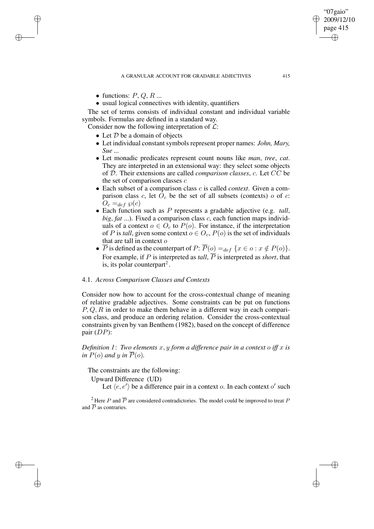• functions:  $P, Q, R$ ...

✐

✐

✐

✐

• usual logical connectives with identity, quantifiers

The set of terms consists of individual constant and individual variable symbols. Formulas are defined in a standard way.

Consider now the following interpretation of  $\mathcal{L}$ :

- Let  $D$  be a domain of objects
- Let individual constant symbols represent proper names: *John, Mary, Sue ...*
- Let monadic predicates represent count nouns like *man*, *tree*, *cat*. They are interpreted in an extensional way: they select some objects of D. Their extensions are called *comparison classes*, c. Let CC be the set of comparison classes  $c$
- Each subset of a comparison class c is called *context*. Given a comparison class c, let  $\overline{O}_c$  be the set of all subsets (contexts) o of c:  $O_c =_{def} \wp(c)$
- Each function such as P represents a gradable adjective (e.g. *tall*, *big*, *fat* ...). Fixed a comparison class c, each function maps individuals of a context  $o \in O_c$  to  $P(o)$ . For instance, if the interpretation of P is *tall*, given some context  $o \in O_c$ ,  $P(o)$  is the set of individuals that are tall in context o
- $\overline{P}$  is defined as the counterpart of  $P: \overline{P}(o) =_{def} \{x \in o : x \notin P(o)\}.$ For example, if P is interpreted as *tall*,  $\overline{P}$  is interpreted as *short*, that is, its polar counterpart<sup>2</sup>.

## 4.1. *Across Comparison Classes and Contexts*

Consider now how to account for the cross-contextual change of meaning of relative gradable adjectives. Some constraints can be put on functions  $P, Q, R$  in order to make them behave in a different way in each comparison class, and produce an ordering relation. Consider the cross-contextual constraints given by van Benthem (1982), based on the concept of difference pair  $(DP)$ :

*Definition* 1: *Two elements*  $x, y$  *form a difference pair in a context o iff*  $x$  *is in*  $P(o)$  *and y in*  $\overline{P}(o)$ *.* 

The constraints are the following:

Upward Difference (UD)

Let  $\langle e, e' \rangle$  be a difference pair in a context *o*. In each context *o'* such

<sup>2</sup> Here P and  $\overline{P}$  are considered contradictories. The model could be improved to treat P and  $\overline{P}$  as contraries.

"07gaio" 2009/12/10 page 415

✐

✐

✐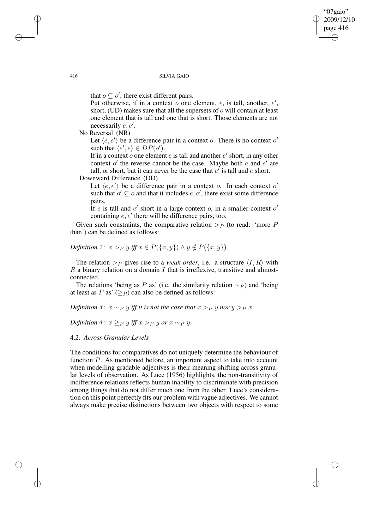"07gaio" 2009/12/10 page 416 ✐ ✐

✐

✐

#### 416 SILVIA GAIO

that  $o \subseteq o'$ , there exist different pairs.

Put otherwise, if in a context  $o$  one element,  $e$ , is tall, another,  $e'$ , short, (UD) makes sure that all the supersets of o will contain at least one element that is tall and one that is short. Those elements are not necessarily  $e, e'$ .

No Reversal (NR)

Let  $\langle e, e' \rangle$  be a difference pair in a context o. There is no context o' such that  $\langle e, e \rangle \in DP(o').$ 

If in a context o one element e is tall and another  $e'$  short, in any other  $\frac{d}{dt}$  context of the reverse cannot be the case. Maybe both *e* and *e'* are tall, or short, but it can never be the case that  $e'$  is tall and  $e$  short.

Downward Difference (DD)

Let  $\langle e, e' \rangle$  be a difference pair in a context o. In each context o' such that  $o' \subseteq o$  and that it includes  $e, e'$ , there exist some difference pairs.

If e is tall and e' short in a large context o, in a smaller context o' containing  $e, e'$  there will be difference pairs, too.

Given such constraints, the comparative relation  $\gt_P$  (to read: 'more P than') can be defined as follows:

# *Definition* 2:  $x >_P y$  *iff*  $x \in P({x, y}) \land y \notin P({x, y})$ *.*

The relation  $\gt_P$  gives rise to a *weak order*, i.e. a structure  $\langle I, R \rangle$  with  $R$  a binary relation on a domain  $I$  that is irreflexive, transitive and almostconnected.

The relations 'being as P as' (i.e. the similarity relation  $\sim_P$ ) and 'being at least as P as'  $(>p)$  can also be defined as follows:

## *Definition* 3:  $x \sim_P y$  *iff it is not the case that*  $x >_P y$  *nor*  $y >_P x$ *.*

*Definition* 4:  $x \geq_P y$  *iff*  $x >_P y$  *or*  $x \sim_P y$ *.* 

## 4.2. *Across Granular Levels*

The conditions for comparatives do not uniquely determine the behaviour of function P. As mentioned before, an important aspect to take into account when modelling gradable adjectives is their meaning-shifting across granular levels of observation. As Luce (1956) highlights, the non-transitivity of indifference relations reflects human inability to discriminate with precision among things that do not differ much one from the other. Luce's consideration on this point perfectly fits our problem with vague adjectives. We cannot always make precise distinctions between two objects with respect to some

✐

✐

✐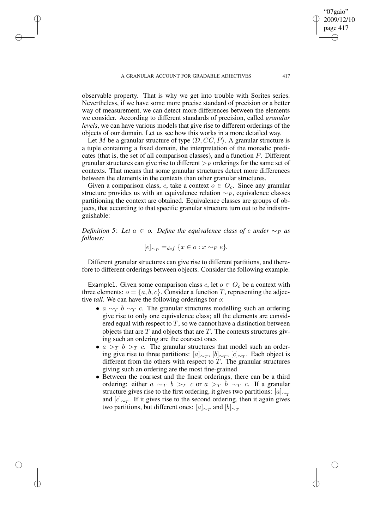✐

✐

✐

observable property. That is why we get into trouble with Sorites series. Nevertheless, if we have some more precise standard of precision or a better way of measurement, we can detect more differences between the elements we consider. According to different standards of precision, called *granular levels*, we can have various models that give rise to different orderings of the objects of our domain. Let us see how this works in a more detailed way.

Let M be a granular structure of type  $\langle \mathcal{D}, CC, P \rangle$ . A granular structure is a tuple containing a fixed domain, the interpretation of the monadic predicates (that is, the set of all comparison classes), and a function P. Different granular structures can give rise to different  $\gt_P$  orderings for the same set of contexts. That means that some granular structures detect more differences between the elements in the contexts than other granular structures.

Given a comparison class, c, take a context  $o \in O_c$ . Since any granular structure provides us with an equivalence relation  $\sim_P$ , equivalence classes partitioning the context are obtained. Equivalence classes are groups of objects, that according to that specific granular structure turn out to be indistinguishable:

*Definition* 5: Let  $a \in \mathfrak{o}$ . Define the equivalence class of e under  $\sim_{P}$  *as follows:*

$$
[e]_{\sim_P} =_{def} \{ x \in o : x \sim_P e \}.
$$

Different granular structures can give rise to different partitions, and therefore to different orderings between objects. Consider the following example.

Example1. Given some comparison class c, let  $o \in O_c$  be a context with three elements:  $o = \{a, b, c\}$ . Consider a function T, representing the adjective *tall*. We can have the following orderings for o:

- $a \sim_T b \sim_T c$ . The granular structures modelling such an ordering give rise to only one equivalence class; all the elements are considered equal with respect to  $T$ , so we cannot have a distinction between objects that are  $T$  and objects that are  $T$ . The contexts structures giving such an ordering are the coarsest ones
- $a >_T b >_T c$ . The granular structures that model such an ordering give rise to three partitions:  $[a]_{\sim_T}$ ,  $[b]_{\sim_T}$ ,  $[c]_{\sim_T}$ . Each object is different from the others with respect to  $T$ . The granular structures giving such an ordering are the most fine-grained
- Between the coarsest and the finest orderings, there can be a third ordering: either  $a \sim_T b >_T c$  or  $a >_T b \sim_T c$ . If a granular structure gives rise to the first ordering, it gives two partitions:  $[a]_{\sim_T}$ and  $[c]_{\sim_T}$ . If it gives rise to the second ordering, then it again gives two partitions, but different ones: [ $a]_{\sim_T}$  and  $[b]_{\sim_T}$

"07gaio" 2009/12/10 page 417

✐

✐

✐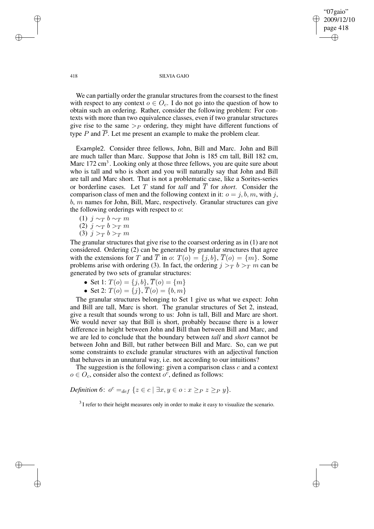✐

#### 418 SILVIA GAIO

We can partially order the granular structures from the coarsest to the finest with respect to any context  $o \in O_c$ . I do not go into the question of how to obtain such an ordering. Rather, consider the following problem: For contexts with more than two equivalence classes, even if two granular structures give rise to the same  $\gt_P$  ordering, they might have different functions of type  $P$  and  $\overline{P}$ . Let me present an example to make the problem clear.

Example2. Consider three fellows, John, Bill and Marc. John and Bill are much taller than Marc. Suppose that John is 185 cm tall, Bill 182 cm, Marc 172 cm<sup>3</sup>. Looking only at those three fellows, you are quite sure about who is tall and who is short and you will naturally say that John and Bill are tall and Marc short. That is not a problematic case, like a Sorites-series or borderline cases. Let T stand for *tall* and T for *short*. Consider the comparison class of men and the following context in it:  $o = j, b, m$ , with j, b, m names for John, Bill, Marc, respectively. Granular structures can give the following orderings with respect to  $\sigma$ :

$$
(1) j \sim_T b \sim_T m
$$

(2)  $j \sim_T b >_T m$ 

$$
(3) j >_T b >_T m
$$

The granular structures that give rise to the coarsest ordering as in (1) are not considered. Ordering (2) can be generated by granular structures that agree with the extensions for T and  $\overline{T}$  in o:  $T(o) = \{j, b\}, \overline{T}(o) = \{m\}.$  Some problems arise with ordering (3). In fact, the ordering  $j >_T b >_T m$  can be generated by two sets of granular structures:

- Set 1:  $T(o) = \{j, b\}, T(o) = \{m\}$
- Set 2:  $T(o) = \{j\}, T(o) = \{b, m\}$

The granular structures belonging to Set 1 give us what we expect: John and Bill are tall, Marc is short. The granular structures of Set 2, instead, give a result that sounds wrong to us: John is tall, Bill and Marc are short. We would never say that Bill is short, probably because there is a lower difference in height between John and Bill than between Bill and Marc, and we are led to conclude that the boundary between *tall* and *short* cannot be between John and Bill, but rather between Bill and Marc. So, can we put some constraints to exclude granular structures with an adjectival function that behaves in an unnatural way, i.e. not according to our intuitions?

The suggestion is the following: given a comparison class  $c$  and a context  $o \in O_c$ , consider also the context  $o^c$ , defined as follows:

*Definition* 6:  $o^c =_{def} \{z \in c \mid \exists x, y \in o : x \geq_P z \geq_P y\}.$ 

 $3$ I refer to their height measures only in order to make it easy to visualize the scenario.

✐

✐

✐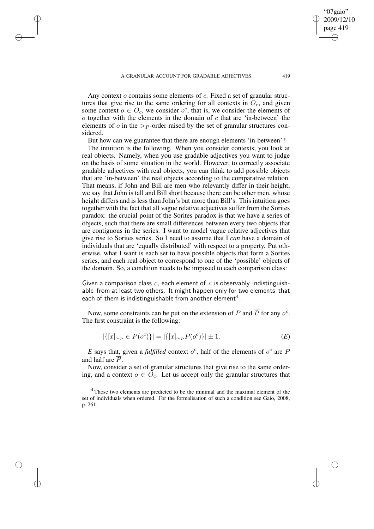✐

✐

✐

Any context  $o$  contains some elements of  $c$ . Fixed a set of granular structures that give rise to the same ordering for all contexts in  $O<sub>c</sub>$ , and given some context  $o \in O_c$ , we consider  $o^c$ , that is, we consider the elements of  $\alpha$  together with the elements in the domain of  $\alpha$  that are 'in-between' the elements of  $\sigma$  in the  $\gt p$ -order raised by the set of granular structures considered.

But how can we guarantee that there are enough elements 'in-between'?

The intuition is the following. When you consider contexts, you look at real objects. Namely, when you use gradable adjectives you want to judge on the basis of some situation in the world. However, to correctly associate gradable adjectives with real objects, you can think to add possible objects that are 'in-between' the real objects according to the comparative relation. That means, if John and Bill are men who relevantly differ in their height, we say that John is tall and Bill short because there can be other men, whose height differs and is less than John's but more than Bill's. This intuition goes together with the fact that all vague relative adjectives suffer from the Sorites paradox: the crucial point of the Sorites paradox is that we have a series of objects, such that there are small differences between every two objects that are contiguous in the series. I want to model vague relative adjectives that give rise to Sorites series. So I need to assume that I *can* have a domain of individuals that are 'equally distributed' with respect to a property. Put otherwise, what I want is each set to have possible objects that form a Sorites series, and each real object to correspond to one of the 'possible' objects of the domain. So, a condition needs to be imposed to each comparison class:

Given a comparison class  $c$ , each element of  $c$  is observably indistinguishable from at least two others. It might happen only for two elements that each of them is indistinguishable from another element $^4$  .

Now, some constraints can be put on the extension of P and  $\overline{P}$  for any  $o^c$ . The first constraint is the following:

$$
|\{ [x]_{\sim_P} \in P(o^c) \}| = |\{ [x]_{\sim_P} \overline{P}(o^c) \}| \pm 1.
$$
 (E)

E says that, given a *fulfilled* context  $o^c$ , half of the elements of  $o^c$  are P and half are  $\overline{P}$ .

Now, consider a set of granular structures that give rise to the same ordering, and a context  $o \in O_c$ . Let us accept only the granular structures that

"07gaio" 2009/12/10 page 419

✐

✐

✐

 $4$ Those two elements are predicted to be the minimal and the maximal element of the set of individuals when ordered. For the formalisation of such a condition see Gaio, 2008, p. 261.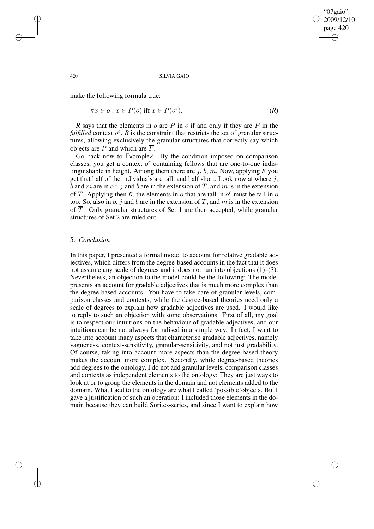✐

#### 420 SILVIA GAIO

make the following formula true:

 $\forall x \in o : x \in P(o)$  iff  $x \in P(o^c)$  $\left( R\right)$  (*R*)

*R* says that the elements in  $\sigma$  are  $P$  in  $\sigma$  if and only if they are  $P$  in the *fulfilled* context  $o^c$ . *R* is the constraint that restricts the set of granular structures, allowing exclusively the granular structures that correctly say which objects are P and which are  $\overline{P}$ .

Go back now to Example2. By the condition imposed on comparison classes, you get a context  $o^c$  containing fellows that are one-to-one indistinguishable in height. Among them there are j, b, m. Now, applying *E* you get that half of the individuals are tall, and half short. Look now at where  $j$ ,  $\bar{b}$  and m are in  $o^c$ : j and b are in the extension of T, and m is in the extension of  $\overline{T}$ . Applying then *R*, the elements in *o* that are tall in  $o^c$  must be tall in *o* too. So, also in  $o$ , j and  $b$  are in the extension of  $T$ , and  $m$  is in the extension of  $\overline{T}$ . Only granular structures of Set 1 are then accepted, while granular structures of Set 2 are ruled out.

## 5. *Conclusion*

In this paper, I presented a formal model to account for relative gradable adjectives, which differs from the degree-based accounts in the fact that it does not assume any scale of degrees and it does not run into objections (1)–(3). Nevertheless, an objection to the model could be the following: The model presents an account for gradable adjectives that is much more complex than the degree-based accounts. You have to take care of granular levels, comparison classes and contexts, while the degree-based theories need only a scale of degrees to explain how gradable adjectives are used. I would like to reply to such an objection with some observations. First of all, my goal is to respect our intuitions on the behaviour of gradable adjectives, and our intuitions can be not always formalised in a simple way. In fact, I want to take into account many aspects that characterise gradable adjectives, namely vagueness, context-sensitivity, granular-sensitivity, and not just gradability. Of course, taking into account more aspects than the degree-based theory makes the account more complex. Secondly, while degree-based theories add degrees to the ontology, I do not add granular levels, comparison classes and contexts as independent elements to the ontology: They are just ways to look at or to group the elements in the domain and not elements added to the domain. What I add to the ontology are what I called 'possible'objects. But I gave a justification of such an operation: I included those elements in the domain because they can build Sorites-series, and since I want to explain how

✐

✐

✐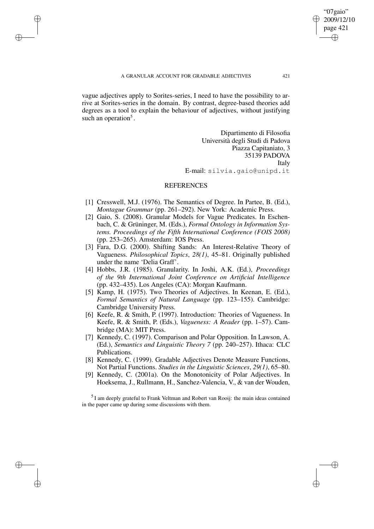✐

✐

✐

vague adjectives apply to Sorites-series, I need to have the possibility to arrive at Sorites-series in the domain. By contrast, degree-based theories add degrees as a tool to explain the behaviour of adjectives, without justifying such an operation<sup>5</sup>.

> Dipartimento di Filosofia Università degli Studi di Padova Piazza Capitaniato, 3 35139 PADOVA Italy E-mail: silvia.gaio@unipd.it

## **REFERENCES**

- [1] Cresswell, M.J. (1976). The Semantics of Degree. In Partee, B. (Ed.), *Montague Grammar* (pp. 261–292). New York: Academic Press.
- [2] Gaio, S. (2008). Granular Models for Vague Predicates. In Eschenbach, C. & Grüninger, M. (Eds.), *Formal Ontology in Information Systems. Proceedings of the Fifth International Conference (FOIS 2008)* (pp. 253–265). Amsterdam: IOS Press.
- [3] Fara, D.G. (2000). Shifting Sands: An Interest-Relative Theory of Vagueness. *Philosophical Topics*, *28(1)*, 45–81. Originally published under the name 'Delia Graff'.
- [4] Hobbs, J.R. (1985). Granularity. In Joshi, A.K. (Ed.), *Proceedings of the 9th International Joint Conference on Artificial Intelligence* (pp. 432–435). Los Angeles (CA): Morgan Kaufmann.
- [5] Kamp, H. (1975). Two Theories of Adjectives. In Keenan, E. (Ed.), *Formal Semantics of Natural Language* (pp. 123–155). Cambridge: Cambridge University Press.
- [6] Keefe, R. & Smith, P. (1997). Introduction: Theories of Vagueness. In Keefe, R. & Smith, P. (Eds.), *Vagueness: A Reader* (pp. 1–57). Cambridge (MA): MIT Press.
- [7] Kennedy, C. (1997). Comparison and Polar Opposition. In Lawson, A. (Ed.), *Semantics and Linguistic Theory 7* (pp. 240–257). Ithaca: CLC Publications.
- [8] Kennedy, C. (1999). Gradable Adjectives Denote Measure Functions, Not Partial Functions. *Studies in the Linguistic Sciences*, *29(1)*, 65–80.
- [9] Kennedy, C. (2001a). On the Monotonicity of Polar Adjectives. In Hoeksema, J., Rullmann, H., Sanchez-Valencia, V., & van der Wouden,

<sup>5</sup> I am deeply grateful to Frank Veltman and Robert van Rooij: the main ideas contained in the paper came up during some discussions with them.

"07gaio" 2009/12/10 page 421

✐

✐

✐